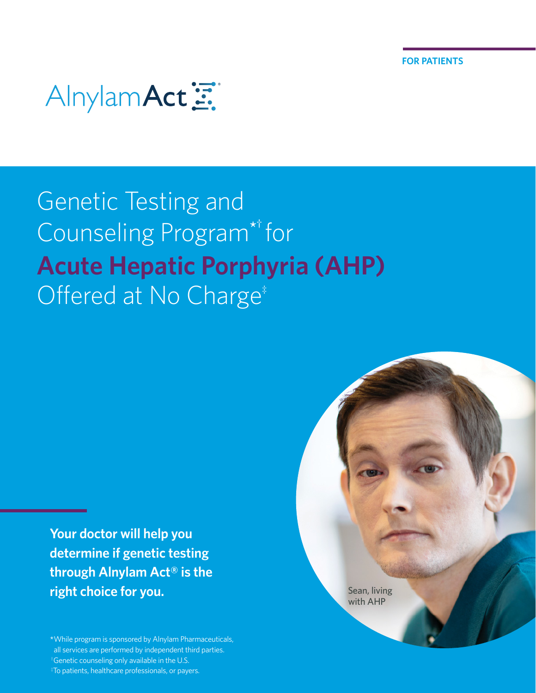# AlnylamAct

### Genetic Testing and Counseling Program\*† for **Acute Hepatic Porphyria (AHP)** Offered at No Charge<sup>#</sup>

**Your doctor will help you determine if genetic testing through Alnylam Act® is the right choice for you.**

\*While program is sponsored by Alnylam Pharmaceuticals, all services are performed by independent third parties. <sup>†</sup>Genetic counseling only available in the U.S. ‡To patients, healthcare professionals, or payers.

Sean, living with AHP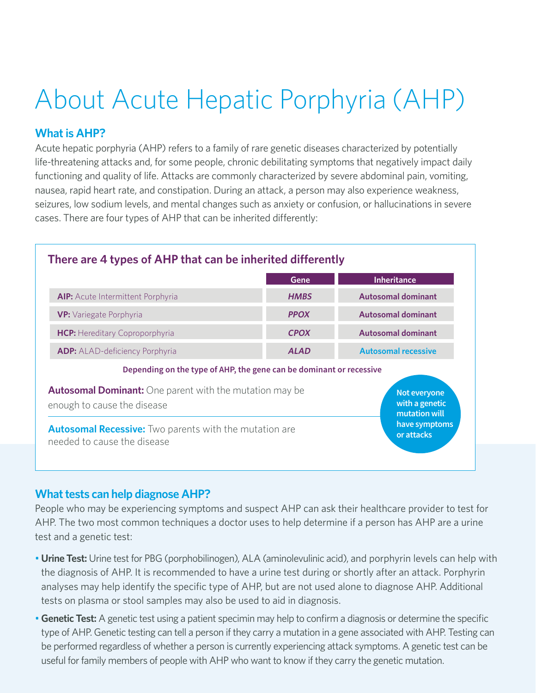# About Acute Hepatic Porphyria (AHP)

### **What is AHP?**

 $\overline{\phantom{a}}$ 

Acute hepatic porphyria (AHP) refers to a family of rare genetic diseases characterized by potentially life-threatening attacks and, for some people, chronic debilitating symptoms that negatively impact daily functioning and quality of life. Attacks are commonly characterized by severe abdominal pain, vomiting, nausea, rapid heart rate, and constipation. During an attack, a person may also experience weakness, seizures, low sodium levels, and mental changes such as anxiety or confusion, or hallucinations in severe cases. There are four types of AHP that can be inherited differently:

| There are 4 types of AHP that can be inherited differently                                    |             |                                                 |
|-----------------------------------------------------------------------------------------------|-------------|-------------------------------------------------|
|                                                                                               | Gene        | <b>Inheritance</b>                              |
| <b>AIP:</b> Acute Intermittent Porphyria                                                      | <b>HMBS</b> | Autosomal dominant                              |
| <b>VP:</b> Variegate Porphyria                                                                | <b>PPOX</b> | <b>Autosomal dominant</b>                       |
| <b>HCP:</b> Hereditary Coproporphyria                                                         | <b>CPOX</b> | <b>Autosomal dominant</b>                       |
| <b>ADP:</b> ALAD-deficiency Porphyria                                                         | <b>ALAD</b> | <b>Autosomal recessive</b>                      |
| Depending on the type of AHP, the gene can be dominant or recessive                           |             |                                                 |
| <b>Autosomal Dominant:</b> One parent with the mutation may be<br>enough to cause the disease |             | Not everyone<br>with a genetic<br>mutation will |
| <b>Autosomal Recessive:</b> Two parents with the mutation are<br>needed to cause the disease  |             | have symptoms<br>or attacks                     |

### **What tests can help diagnose AHP?**

People who may be experiencing symptoms and suspect AHP can ask their healthcare provider to test for AHP. The two most common techniques a doctor uses to help determine if a person has AHP are a urine test and a genetic test:

- **Urine Test:** Urine test for PBG (porphobilinogen), ALA (aminolevulinic acid), and porphyrin levels can help with the diagnosis of AHP. It is recommended to have a urine test during or shortly after an attack. Porphyrin analyses may help identify the specific type of AHP, but are not used alone to diagnose AHP. Additional tests on plasma or stool samples may also be used to aid in diagnosis.
- **Genetic Test:** A genetic test using a patient specimin may help to confirm a diagnosis or determine the specific type of AHP. Genetic testing can tell a person if they carry a mutation in a gene associated with AHP. Testing can be performed regardless of whether a person is currently experiencing attack symptoms. A genetic test can be useful for family members of people with AHP who want to know if they carry the genetic mutation.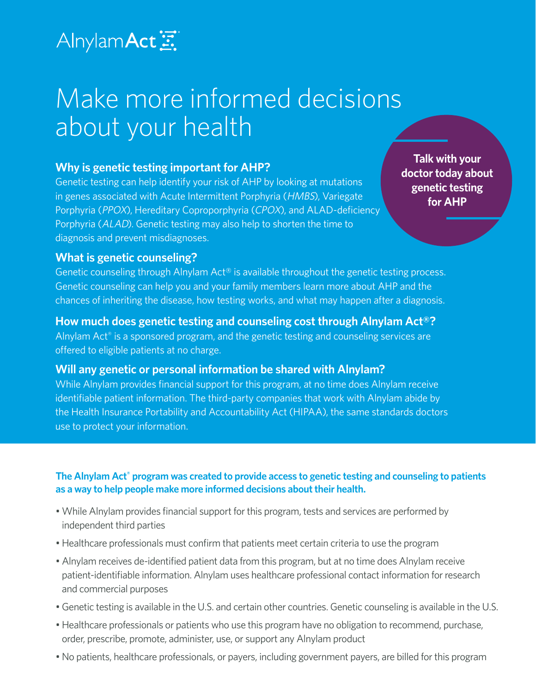### AlnylamAct三

### Make more informed decisions about your health

### **Why is genetic testing important for AHP?**

Genetic testing can help identify your risk of AHP by looking at mutations in genes associated with Acute Intermittent Porphyria (HMBS), Variegate Porphyria (PPOX), Hereditary Coproporphyria (CPOX), and ALAD-deficiency Porphyria (ALAD). Genetic testing may also help to shorten the time to diagnosis and prevent misdiagnoses.

**Talk with your** doctor today about genetic testing for AHP

### **What is genetic counseling?**

Genetic counseling through Alnylam Act® is available throughout the genetic testing process. Genetic counseling can help you and your family members learn more about AHP and the chances of inheriting the disease, how testing works, and what may happen after a diagnosis.

### **How much does genetic testing and counseling cost through Alnylam Act®?**

Alnylam Act® is a sponsored program, and the genetic testing and counseling services are offered to eligible patients at no charge.

### **Will any genetic or personal information be shared with Alnylam?**

While Alnylam provides financial support for this program, at no time does Alnylam receive identifiable patient information. The third-party companies that work with Alnylam abide by the Health Insurance Portability and Accountability Act (HIPAA), the same standards doctors use to protect your information.

#### The Alnylam Act<sup>®</sup> program was created to provide access to genetic testing and counseling to patients **as a way to help people make more informed decisions about their health.**

- While Alnylam provides financial support for this program, tests and services are performed by independent third parties
- Healthcare professionals must confirm that patients meet certain criteria to use the program
- **Edgar Jr., living with**  patient-identifiable information. Alnylam uses healthcare professional contact information for research • Alnylam receives de-identified patient data from this program, but at no time does Alnylam receive and commercial purposes
- Genetic testing is available in the U.S. and certain other countries. Genetic counseling is available in the U.S.
- Healthcare professionals or patients who use this program have no obligation to recommend, purchase, order, prescribe, promote, administer, use, or support any Alnylam product
- No patients, healthcare professionals, or payers, including government payers, are billed for this program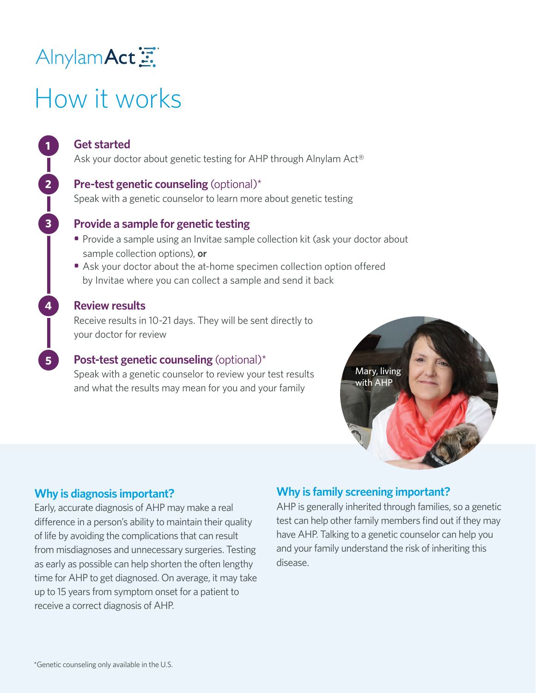### Alnylam Act

# How it works

### **Get started**

**1**

**2**

**3**

**4**

**5**

Ask your doctor about genetic testing for AHP through Alnylam Act®

#### **Pre-test genetic counseling** (optional)\*

Speak with a genetic counselor to learn more about genetic testing

### **Provide a sample for genetic testing**

- **•** Provide a sample using an Invitae sample collection kit (ask your doctor about sample collection options), **or**
- Ask your doctor about the at-home specimen collection option offered by Invitae where you can collect a sample and send it back

#### **Review results**

Receive results in 10-21 days. They will be sent directly to your doctor for review

### **Post-test genetic counseling** (optional)\*

Speak with a genetic counselor to review your test results and what the results may mean for you and your family



### **Why is diagnosis important?**

Early, accurate diagnosis of AHP may make a real difference in a person's ability to maintain their quality of life by avoiding the complications that can result from misdiagnoses and unnecessary surgeries. Testing as early as possible can help shorten the often lengthy time for AHP to get diagnosed. On average, it may take up to 15 years from symptom onset for a patient to receive a correct diagnosis of AHP.

### **Why is family screening important?**

AHP is generally inherited through families, so a genetic test can help other family members find out if they may have AHP. Talking to a genetic counselor can help you and your family understand the risk of inheriting this disease.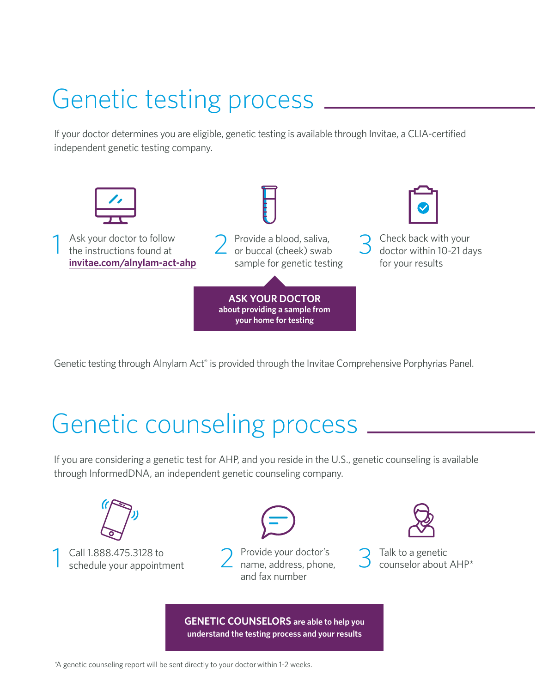## Genetic testing process

If your doctor determines you are eligible, genetic testing is available through Invitae, a CLIA-certified independent genetic testing company.



Genetic testing through Alnylam Act® is provided through the Invitae Comprehensive Porphyrias Panel.

### Genetic counseling process

If you are considering a genetic test for AHP, and you reside in the U.S., genetic counseling is available through InformedDNA, an independent genetic counseling company.



**GENETIC COUNSELORS are able to help you understand the testing process and your results**